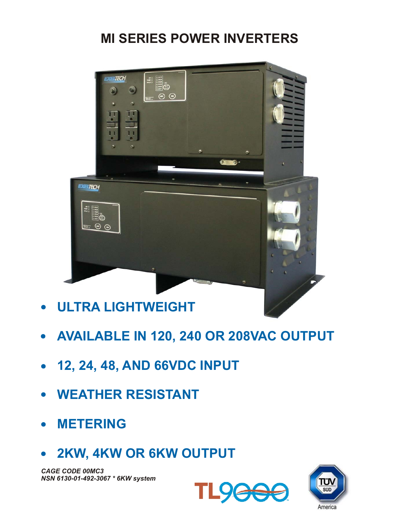# **MI SERIES POWER INVERTERS**



- **ULTRA LIGHTWEIGHT**
- **AVAILABLE IN 120, 240 OR 208VAC OUTPUT**
- **12, 24, 48, AND 66VDC INPUT**
- **WEATHER RESISTANT**
- **METERING**
- **2KW, 4KW OR 6KW OUTPUT**

*CAGE CODE 00MC3 NSN 6130-01-492-3067 \* 6KW system*